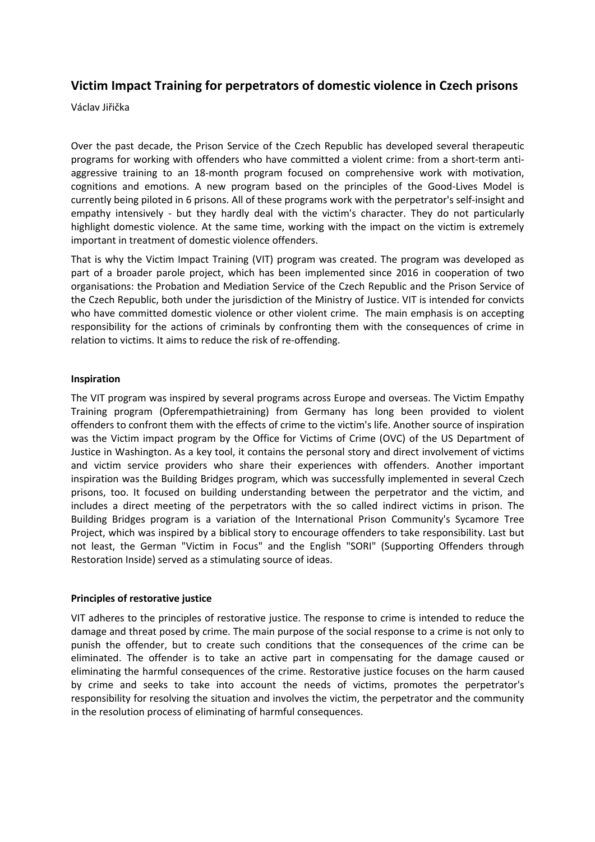# **Victim Impact Training for perpetrators of domestic violence in Czech prisons**

Václav Jiřička

Over the past decade, the Prison Service of the Czech Republic has developed several therapeutic programs for working with offenders who have committed a violent crime: from a short-term antiaggressive training to an 18-month program focused on comprehensive work with motivation, cognitions and emotions. A new program based on the principles of the Good-Lives Model is currently being piloted in 6 prisons. All of these programs work with the perpetrator's self-insight and empathy intensively - but they hardly deal with the victim's character. They do not particularly highlight domestic violence. At the same time, working with the impact on the victim is extremely important in treatment of domestic violence offenders.

That is why the Victim Impact Training (VIT) program was created. The program was developed as part of a broader parole project, which has been implemented since 2016 in cooperation of two organisations: the Probation and Mediation Service of the Czech Republic and the Prison Service of the Czech Republic, both under the jurisdiction of the Ministry of Justice. VIT is intended for convicts who have committed domestic violence or other violent crime. The main emphasis is on accepting responsibility for the actions of criminals by confronting them with the consequences of crime in relation to victims. It aims to reduce the risk of re-offending.

# **Inspiration**

The VIT program was inspired by several programs across Europe and overseas. The Victim Empathy Training program (Opferempathietraining) from Germany has long been provided to violent offenders to confront them with the effects of crime to the victim's life. Another source of inspiration was the Victim impact program by the Office for Victims of Crime (OVC) of the US Department of Justice in Washington. As a key tool, it contains the personal story and direct involvement of victims and victim service providers who share their experiences with offenders. Another important inspiration was the Building Bridges program, which was successfully implemented in several Czech prisons, too. It focused on building understanding between the perpetrator and the victim, and includes a direct meeting of the perpetrators with the so called indirect victims in prison. The Building Bridges program is a variation of the International Prison Community's Sycamore Tree Project, which was inspired by a biblical story to encourage offenders to take responsibility. Last but not least, the German "Victim in Focus" and the English "SORI" (Supporting Offenders through Restoration Inside) served as a stimulating source of ideas.

# **Principles of restorative justice**

VIT adheres to the principles of restorative justice. The response to crime is intended to reduce the damage and threat posed by crime. The main purpose of the social response to a crime is not only to punish the offender, but to create such conditions that the consequences of the crime can be eliminated. The offender is to take an active part in compensating for the damage caused or eliminating the harmful consequences of the crime. Restorative justice focuses on the harm caused by crime and seeks to take into account the needs of victims, promotes the perpetrator's responsibility for resolving the situation and involves the victim, the perpetrator and the community in the resolution process of eliminating of harmful consequences.